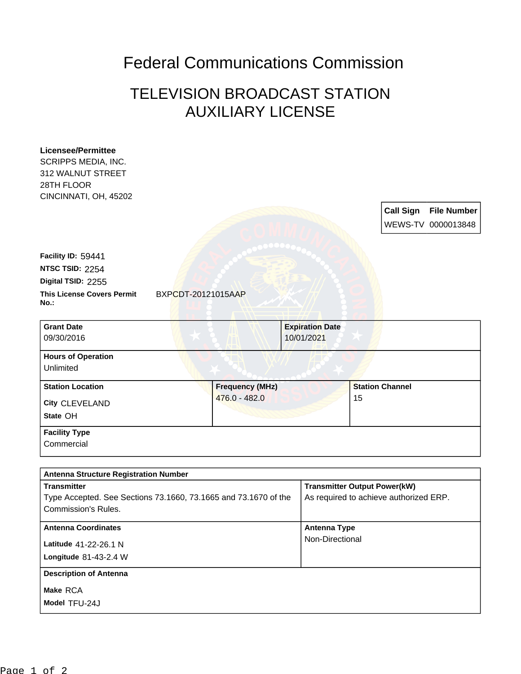## Federal Communications Commission

## TELEVISION BROADCAST STATION AUXILIARY LICENSE

| <b>Licensee/Permittee</b><br>SCRIPPS MEDIA, INC.                   |                        |                                                                               |                        |                  |                    |
|--------------------------------------------------------------------|------------------------|-------------------------------------------------------------------------------|------------------------|------------------|--------------------|
| 312 WALNUT STREET                                                  |                        |                                                                               |                        |                  |                    |
| 28TH FLOOR                                                         |                        |                                                                               |                        |                  |                    |
| CINCINNATI, OH, 45202                                              |                        |                                                                               |                        |                  |                    |
|                                                                    |                        |                                                                               |                        | <b>Call Sign</b> | <b>File Number</b> |
|                                                                    |                        |                                                                               |                        |                  | WEWS-TV 0000013848 |
|                                                                    |                        |                                                                               |                        |                  |                    |
| Facility ID: 59441                                                 |                        |                                                                               |                        |                  |                    |
| NTSC TSID: 2254                                                    |                        |                                                                               |                        |                  |                    |
| Digital TSID: 2255                                                 |                        |                                                                               |                        |                  |                    |
| <b>This License Covers Permit</b><br>No.:                          | BXPCDT-20121015AAP     |                                                                               |                        |                  |                    |
| <b>Grant Date</b>                                                  |                        | <b>Expiration Date</b>                                                        |                        |                  |                    |
| 09/30/2016                                                         |                        | 10/01/2021                                                                    |                        |                  |                    |
| <b>Hours of Operation</b>                                          |                        |                                                                               |                        |                  |                    |
| Unlimited                                                          |                        |                                                                               |                        |                  |                    |
| <b>Station Location</b>                                            | <b>Frequency (MHz)</b> |                                                                               | <b>Station Channel</b> |                  |                    |
| City CLEVELAND                                                     | 476.0 - 482.0          |                                                                               | 15                     |                  |                    |
| State OH                                                           |                        |                                                                               |                        |                  |                    |
| <b>Facility Type</b>                                               |                        |                                                                               |                        |                  |                    |
| Commercial                                                         |                        |                                                                               |                        |                  |                    |
|                                                                    |                        |                                                                               |                        |                  |                    |
| <b>Antenna Structure Registration Number</b><br><b>Transmitter</b> |                        |                                                                               |                        |                  |                    |
| Type Accepted. See Sections 73.1660, 73.1665 and 73.1670 of the    |                        | <b>Transmitter Output Power(kW)</b><br>As required to achieve authorized ERP. |                        |                  |                    |
| <b>Commission's Rules.</b>                                         |                        |                                                                               |                        |                  |                    |
| <b>Antenna Coordinates</b>                                         |                        |                                                                               | <b>Antenna Type</b>    |                  |                    |
| Latitude 41-22-26.1 N                                              |                        | Non-Directional                                                               |                        |                  |                    |
| Longitude 81-43-2.4 W                                              |                        |                                                                               |                        |                  |                    |
| <b>Description of Antenna</b>                                      |                        |                                                                               |                        |                  |                    |
| Make RCA                                                           |                        |                                                                               |                        |                  |                    |
| Model TFU-24J                                                      |                        |                                                                               |                        |                  |                    |